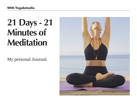## **21 Days - 21 Minutes of Meditation**

My personal Journal.

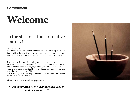#### **Commitment**

# **Welcome**

## to the start of a transformative journey!

#### Congratulations,

You just made an extraordinary commitment on the next step of your life journey. Over the next 21 days we will work together to create a firmer foundation of what it is to meditate, growing our strength, stillness and serenity together.

During this period you will develop your ability to sit and witness, invoking a deeper perception on life. I recommend journaling through this period to help the filtering of your mind, this will help you express your emotions and understand how everything is connected in how you react through the process of life!

Since this program occurs on your own time, namely your everyday life, the results are really up to you.

Please read and sign the following agreement:

#### *"I am committed to my own personal growth and development."*

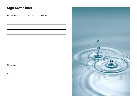### **Sign on the line!**

List any additional personal commitments below:

Please Sign:

Date:

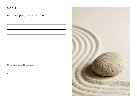### **Goals**

List 3 personal goals you have for this course:

Please Sign to commit to your goals:

Date:

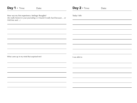| <b>Day 1 - Time:</b><br>Date:                                                                                                                     | <b>Day 2 - Time:</b><br>Date: |  |  |  |
|---------------------------------------------------------------------------------------------------------------------------------------------------|-------------------------------|--|--|--|
| How was my first experience, feelings/thoughts?<br>(be really honest in your journaling i.e I found it really hard because or<br>I felt free and) | Today I felt:                 |  |  |  |
|                                                                                                                                                   |                               |  |  |  |
|                                                                                                                                                   |                               |  |  |  |
| What came up in my mind that surprised me?:                                                                                                       | I was able to:                |  |  |  |
|                                                                                                                                                   |                               |  |  |  |
|                                                                                                                                                   |                               |  |  |  |
|                                                                                                                                                   |                               |  |  |  |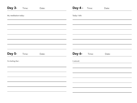| Day 3-               | Time: | Date: | Day 4 -       | Time: | Date: |
|----------------------|-------|-------|---------------|-------|-------|
| My meditation today: |       |       | Today I felt: |       |       |
|                      |       |       |               |       |       |
|                      |       |       |               |       |       |
|                      |       |       |               |       |       |
|                      |       |       |               |       |       |
| <b>Day 5-</b>        | Time: | Date: | Day 6-        | Time: | Date: |
| I'm feeling that :   |       |       | I noticed:    |       |       |
|                      |       |       |               |       |       |
|                      |       |       |               |       |       |
|                      |       |       |               |       |       |
|                      |       |       |               |       |       |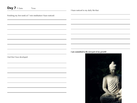| Day 7 - Date:<br>Time:                                      | I have noticed in my daily life that:         |
|-------------------------------------------------------------|-----------------------------------------------|
| Finishing my first week of 7 min meditation I have noticed: |                                               |
|                                                             |                                               |
|                                                             |                                               |
|                                                             |                                               |
|                                                             |                                               |
|                                                             | I am committed to the next part of my growth! |
| I feel that I have developed:                               |                                               |
|                                                             |                                               |
|                                                             |                                               |
|                                                             |                                               |
|                                                             |                                               |
|                                                             |                                               |
|                                                             |                                               |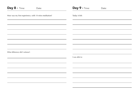| <b>Day 8 - Time:</b><br>Date:                         | Day 9 - Time:<br>Date: |
|-------------------------------------------------------|------------------------|
| How was my first experience, with 14 mins meditation? | Today it felt:         |
|                                                       |                        |
|                                                       |                        |
|                                                       |                        |
|                                                       |                        |
| What difference did I witness?:                       |                        |
|                                                       | I was able to:         |
|                                                       |                        |
|                                                       |                        |
|                                                       |                        |
|                                                       |                        |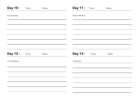| <b>Day 10 -</b>  | Time: | Date: | <b>Day 11 -</b>    | Time: | Date: |
|------------------|-------|-------|--------------------|-------|-------|
| I noticed that:  |       |       | Today I felt that: |       |       |
|                  |       |       |                    |       |       |
|                  |       |       |                    |       |       |
|                  |       |       |                    |       |       |
|                  |       |       |                    |       |       |
| <b>Day 12 -</b>  | Time: | Date: | <b>Day 13 -</b>    | Time: | Date: |
| I'm developing : |       |       | I witnessed :      |       |       |
|                  |       |       |                    |       |       |
|                  |       |       |                    |       |       |
|                  |       |       |                    |       |       |
|                  |       |       |                    |       |       |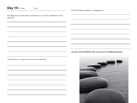| <b>Day 14 - Date:</b><br>Time:                                                  | I feel like daily meditation is helping me:                        |
|---------------------------------------------------------------------------------|--------------------------------------------------------------------|
| Finishing my second week of profession to 14 mins meditation I have<br>noticed: |                                                                    |
|                                                                                 |                                                                    |
|                                                                                 |                                                                    |
|                                                                                 |                                                                    |
|                                                                                 |                                                                    |
|                                                                                 | I am here and committed to the next part of my meditation journey! |
| I noticed that in comparison from the first week that:                          |                                                                    |
|                                                                                 |                                                                    |
|                                                                                 |                                                                    |
|                                                                                 |                                                                    |
|                                                                                 |                                                                    |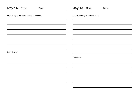| <b>Day 15 - Time:</b><br>Date:               | <b>Day 16 - Time:</b><br>Date:   |
|----------------------------------------------|----------------------------------|
| Progressing to 18 mins of meditation I felt? | The second day of 18 mins felt : |
|                                              |                                  |
|                                              |                                  |
|                                              |                                  |
|                                              |                                  |
| I experienced :                              |                                  |
|                                              | I witnessed:                     |
|                                              |                                  |
|                                              |                                  |
|                                              |                                  |
|                                              |                                  |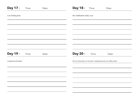| <b>Day 17 -</b>      | Time: | Date: | <b>Day 18 -</b><br>Time:<br>Date:                             |
|----------------------|-------|-------|---------------------------------------------------------------|
| I am feeling that:   |       |       | My meditation today was:                                      |
|                      |       |       |                                                               |
|                      |       |       |                                                               |
|                      |       |       |                                                               |
|                      |       |       |                                                               |
| <b>Day 19 -</b>      | Time: | Date: | <b>Day 20 -</b><br>Time:<br>Date:                             |
| I experienced today: |       |       | On my final day of 18 mins I witnessed and can reflect that : |
|                      |       |       |                                                               |
|                      |       |       |                                                               |
|                      |       |       |                                                               |
|                      |       |       |                                                               |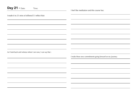| Day 21 - Date:<br>Time:                                     | I feel like meditation and this course has:               |
|-------------------------------------------------------------|-----------------------------------------------------------|
| I made it to 21 mins of stillness!!! I reflect that:        |                                                           |
|                                                             |                                                           |
|                                                             |                                                           |
|                                                             |                                                           |
|                                                             |                                                           |
|                                                             |                                                           |
| As I look back and witness where I am now, I can say that : |                                                           |
|                                                             | I make these new commitments going forward on my journey: |
|                                                             |                                                           |
|                                                             |                                                           |
|                                                             |                                                           |
|                                                             |                                                           |
|                                                             |                                                           |